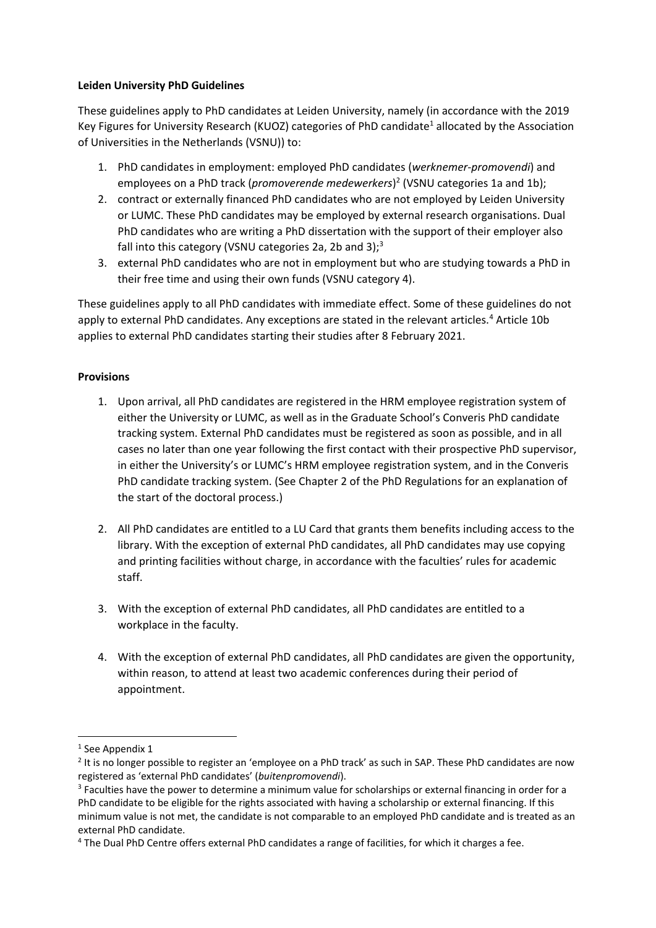## **Leiden University PhD Guidelines**

These guidelines apply to PhD candidates at Leiden University, namely (in accordance with the 2019 Key Figures for University Research (KUOZ) categories of PhD candidate<sup>1</sup> allocated by the Association of Universities in the Netherlands (VSNU)) to:

- 1. PhD candidates in employment: employed PhD candidates (*werknemer-promovendi*) and employees on a PhD track (*promoverende medewerkers*) 2 (VSNU categories 1a and 1b);
- 2. contract or externally financed PhD candidates who are not employed by Leiden University or LUMC. These PhD candidates may be employed by external research organisations. Dual PhD candidates who are writing a PhD dissertation with the support of their employer also fall into this category (VSNU categories 2a, 2b and 3);<sup>3</sup>
- 3. external PhD candidates who are not in employment but who are studying towards a PhD in their free time and using their own funds (VSNU category 4).

These guidelines apply to all PhD candidates with immediate effect. Some of these guidelines do not apply to external PhD candidates. Any exceptions are stated in the relevant articles.<sup>4</sup> Article 10b applies to external PhD candidates starting their studies after 8 February 2021.

## **Provisions**

- 1. Upon arrival, all PhD candidates are registered in the HRM employee registration system of either the University or LUMC, as well as in the Graduate School's Converis PhD candidate tracking system. External PhD candidates must be registered as soon as possible, and in all cases no later than one year following the first contact with their prospective PhD supervisor, in either the University's or LUMC's HRM employee registration system, and in the Converis PhD candidate tracking system. (See Chapter 2 of the PhD Regulations for an explanation of the start of the doctoral process.)
- 2. All PhD candidates are entitled to a LU Card that grants them benefits including access to the library. With the exception of external PhD candidates, all PhD candidates may use copying and printing facilities without charge, in accordance with the faculties' rules for academic staff.
- 3. With the exception of external PhD candidates, all PhD candidates are entitled to a workplace in the faculty.
- 4. With the exception of external PhD candidates, all PhD candidates are given the opportunity, within reason, to attend at least two academic conferences during their period of appointment.

1

<sup>&</sup>lt;sup>1</sup> See Appendix 1

<sup>&</sup>lt;sup>2</sup> It is no longer possible to register an 'employee on a PhD track' as such in SAP. These PhD candidates are now registered as 'external PhD candidates' (*buitenpromovendi*).

<sup>&</sup>lt;sup>3</sup> Faculties have the power to determine a minimum value for scholarships or external financing in order for a PhD candidate to be eligible for the rights associated with having a scholarship or external financing. If this minimum value is not met, the candidate is not comparable to an employed PhD candidate and is treated as an external PhD candidate.

<sup>4</sup> The Dual PhD Centre offers external PhD candidates a range of facilities, for which it charges a fee.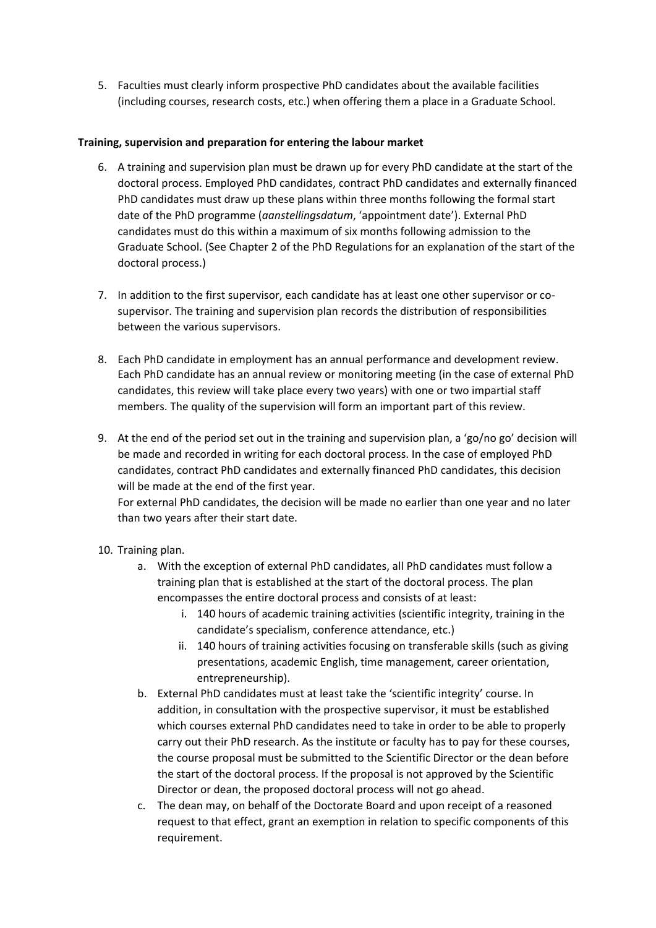5. Faculties must clearly inform prospective PhD candidates about the available facilities (including courses, research costs, etc.) when offering them a place in a Graduate School.

## **Training, supervision and preparation for entering the labour market**

- 6. A training and supervision plan must be drawn up for every PhD candidate at the start of the doctoral process. Employed PhD candidates, contract PhD candidates and externally financed PhD candidates must draw up these plans within three months following the formal start date of the PhD programme (*aanstellingsdatum*, 'appointment date'). External PhD candidates must do this within a maximum of six months following admission to the Graduate School. (See Chapter 2 of the PhD Regulations for an explanation of the start of the doctoral process.)
- 7. In addition to the first supervisor, each candidate has at least one other supervisor or cosupervisor. The training and supervision plan records the distribution of responsibilities between the various supervisors.
- 8. Each PhD candidate in employment has an annual performance and development review. Each PhD candidate has an annual review or monitoring meeting (in the case of external PhD candidates, this review will take place every two years) with one or two impartial staff members. The quality of the supervision will form an important part of this review.
- 9. At the end of the period set out in the training and supervision plan, a 'go/no go' decision will be made and recorded in writing for each doctoral process. In the case of employed PhD candidates, contract PhD candidates and externally financed PhD candidates, this decision will be made at the end of the first year.

For external PhD candidates, the decision will be made no earlier than one year and no later than two years after their start date.

- 10. Training plan.
	- a. With the exception of external PhD candidates, all PhD candidates must follow a training plan that is established at the start of the doctoral process. The plan encompasses the entire doctoral process and consists of at least:
		- i. 140 hours of academic training activities (scientific integrity, training in the candidate's specialism, conference attendance, etc.)
		- ii. 140 hours of training activities focusing on transferable skills (such as giving presentations, academic English, time management, career orientation, entrepreneurship).
	- b. External PhD candidates must at least take the 'scientific integrity' course. In addition, in consultation with the prospective supervisor, it must be established which courses external PhD candidates need to take in order to be able to properly carry out their PhD research. As the institute or faculty has to pay for these courses, the course proposal must be submitted to the Scientific Director or the dean before the start of the doctoral process. If the proposal is not approved by the Scientific Director or dean, the proposed doctoral process will not go ahead.
	- c. The dean may, on behalf of the Doctorate Board and upon receipt of a reasoned request to that effect, grant an exemption in relation to specific components of this requirement.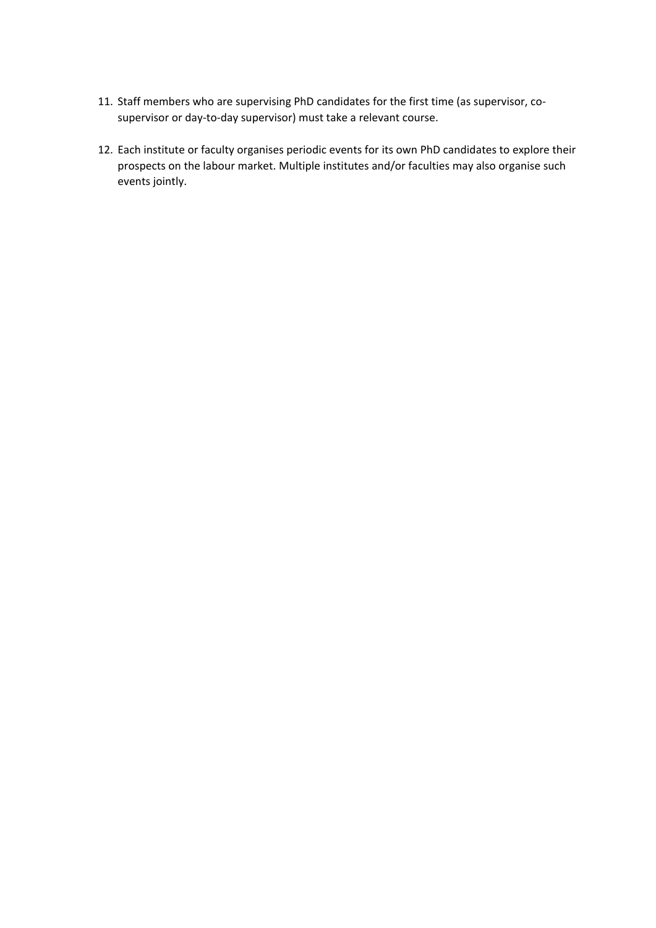- 11. Staff members who are supervising PhD candidates for the first time (as supervisor, cosupervisor or day-to-day supervisor) must take a relevant course.
- 12. Each institute or faculty organises periodic events for its own PhD candidates to explore their prospects on the labour market. Multiple institutes and/or faculties may also organise such events jointly.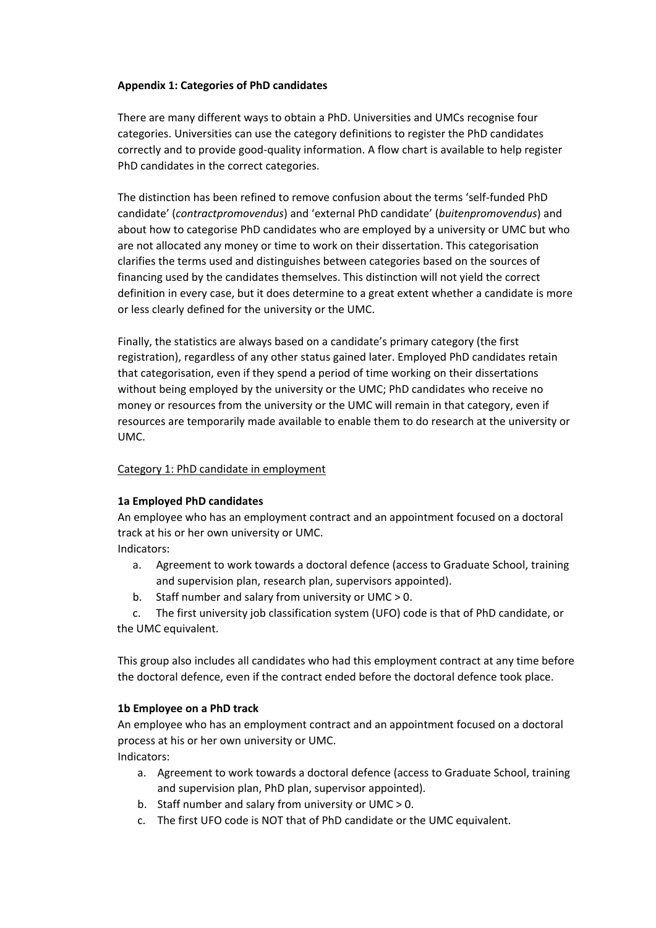## **Appendix 1: Categories of PhD candidates**

There are many different ways to obtain a PhD. Universities and UMCs recognise four categories. Universities can use the category definitions to register the PhD candidates correctly and to provide good-quality information. A flow chart is available to help register PhD candidates in the correct categories.

The distinction has been refined to remove confusion about the terms 'self-funded PhD candidate' (*contractpromovendus*) and 'external PhD candidate' (*buitenpromovendus*) and about how to categorise PhD candidates who are employed by a university or UMC but who are not allocated any money or time to work on their dissertation. This categorisation clarifies the terms used and distinguishes between categories based on the sources of financing used by the candidates themselves. This distinction will not yield the correct definition in every case, but it does determine to a great extent whether a candidate is more or less clearly defined for the university or the UMC.

Finally, the statistics are always based on a candidate's primary category (the first registration), regardless of any other status gained later. Employed PhD candidates retain that categorisation, even if they spend a period of time working on their dissertations without being employed by the university or the UMC; PhD candidates who receive no money or resources from the university or the UMC will remain in that category, even if resources are temporarily made available to enable them to do research at the university or UMC.

### Category 1: PhD candidate in employment

#### **1a Employed PhD candidates**

An employee who has an employment contract and an appointment focused on a doctoral track at his or her own university or UMC.

Indicators:

- a. Agreement to work towards a doctoral defence (access to Graduate School, training and supervision plan, research plan, supervisors appointed).
- b. Staff number and salary from university or UMC > 0.

c. The first university job classification system (UFO) code is that of PhD candidate, or the UMC equivalent.

This group also includes all candidates who had this employment contract at any time before the doctoral defence, even if the contract ended before the doctoral defence took place.

# **1b Employee on a PhD track**

An employee who has an employment contract and an appointment focused on a doctoral process at his or her own university or UMC. Indicators:

- a. Agreement to work towards a doctoral defence (access to Graduate School, training and supervision plan, PhD plan, supervisor appointed).
- b. Staff number and salary from university or UMC > 0.
- c. The first UFO code is NOT that of PhD candidate or the UMC equivalent.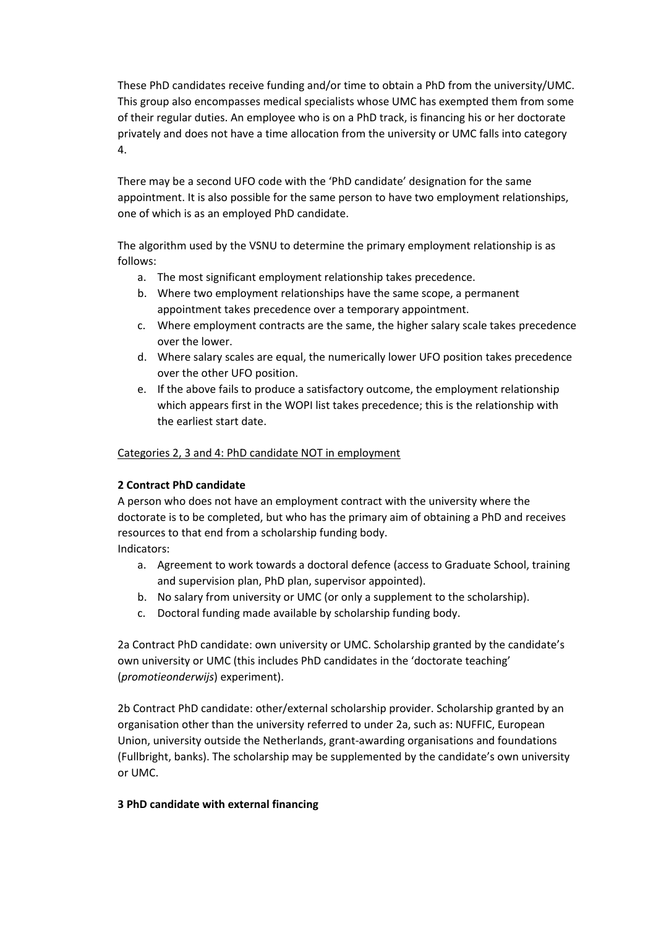These PhD candidates receive funding and/or time to obtain a PhD from the university/UMC. This group also encompasses medical specialists whose UMC has exempted them from some of their regular duties. An employee who is on a PhD track, is financing his or her doctorate privately and does not have a time allocation from the university or UMC falls into category 4.

There may be a second UFO code with the 'PhD candidate' designation for the same appointment. It is also possible for the same person to have two employment relationships, one of which is as an employed PhD candidate.

The algorithm used by the VSNU to determine the primary employment relationship is as follows:

- a. The most significant employment relationship takes precedence.
- b. Where two employment relationships have the same scope, a permanent appointment takes precedence over a temporary appointment.
- c. Where employment contracts are the same, the higher salary scale takes precedence over the lower.
- d. Where salary scales are equal, the numerically lower UFO position takes precedence over the other UFO position.
- e. If the above fails to produce a satisfactory outcome, the employment relationship which appears first in the WOPI list takes precedence; this is the relationship with the earliest start date.

Categories 2, 3 and 4: PhD candidate NOT in employment

# **2 Contract PhD candidate**

A person who does not have an employment contract with the university where the doctorate is to be completed, but who has the primary aim of obtaining a PhD and receives resources to that end from a scholarship funding body.

Indicators:

- a. Agreement to work towards a doctoral defence (access to Graduate School, training and supervision plan, PhD plan, supervisor appointed).
- b. No salary from university or UMC (or only a supplement to the scholarship).
- c. Doctoral funding made available by scholarship funding body.

2a Contract PhD candidate: own university or UMC. Scholarship granted by the candidate's own university or UMC (this includes PhD candidates in the 'doctorate teaching' (*promotieonderwijs*) experiment).

2b Contract PhD candidate: other/external scholarship provider. Scholarship granted by an organisation other than the university referred to under 2a, such as: NUFFIC, European Union, university outside the Netherlands, grant-awarding organisations and foundations (Fullbright, banks). The scholarship may be supplemented by the candidate's own university or UMC.

# **3 PhD candidate with external financing**